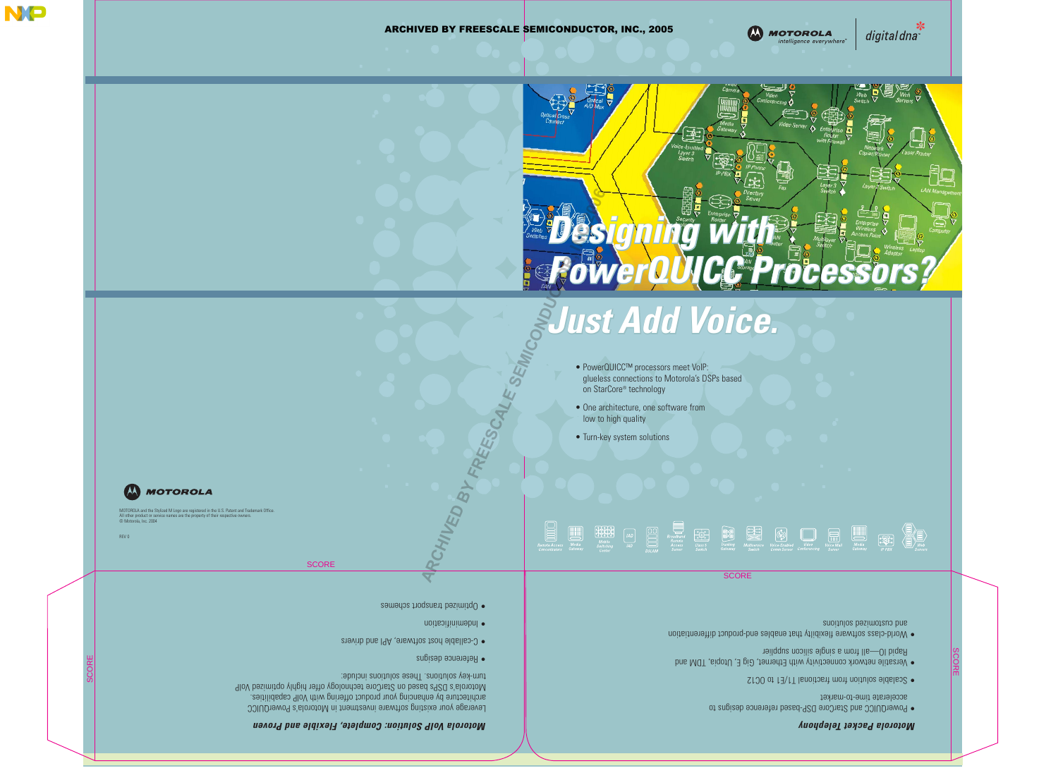SCORE

SCORE

- PowerQUICC and StarCore DSP-based reference designs to accelerate time-to-market
- Scalable solution from fractional T1/E1 to OC12
- Versatile network connectivity with Ethernet, Gig E, Utopia, TDM and Rapid IO—all from a single silicon supplier
- World-class software flexibilty that enables end-product differentiation and custower superious

MOTOROLA and the Stylized M Logo are registered in the U.S. Patent and Trademark Office. All other product or service names are the property of their respective owners.



© Motorola, Inc. 2004

REV 0

Leverage your existing software investment in Motorola's PowerQUICC architecture by enhancing your product offering with VoIP capabilities. Motorola's DSPs based on StarCore technology offer highly optimized VoIP turn-key solutions These solutions include:

**SCORE** 

## *Motorola Packet Telephony*



**MOTOROLA** 

intelligence everywhere"

digital dna





## *Motorola VoIP Solution: Complete, Flexible and Proven*

- Reference designs
- C-callable host software, API and drivers
- Indeminification
- Optimized transport schemes